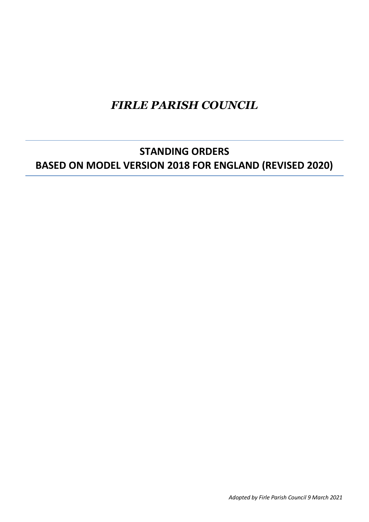# *FIRLE PARISH COUNCIL*

## **STANDING ORDERS BASED ON MODEL VERSION 2018 FOR ENGLAND (REVISED 2020)**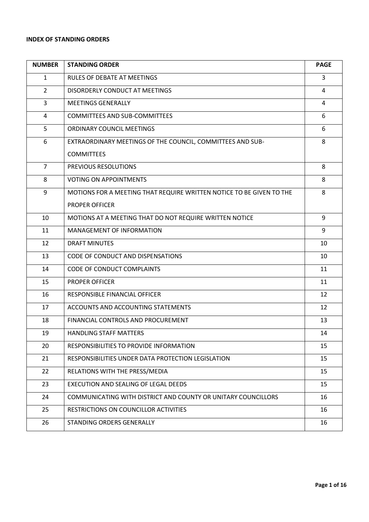## **INDEX OF STANDING ORDERS**

| <b>NUMBER</b>  | <b>STANDING ORDER</b>                                                | <b>PAGE</b> |
|----------------|----------------------------------------------------------------------|-------------|
| $\mathbf{1}$   | <b>RULES OF DEBATE AT MEETINGS</b>                                   | 3           |
| $\overline{2}$ | DISORDERLY CONDUCT AT MEETINGS                                       | 4           |
| 3              | <b>MEETINGS GENERALLY</b>                                            | 4           |
| 4              | <b>COMMITTEES AND SUB-COMMITTEES</b>                                 | 6           |
| 5              | ORDINARY COUNCIL MEETINGS                                            | 6           |
| 6              | EXTRAORDINARY MEETINGS OF THE COUNCIL, COMMITTEES AND SUB-           | 8           |
|                | <b>COMMITTEES</b>                                                    |             |
| $\overline{7}$ | PREVIOUS RESOLUTIONS                                                 | 8           |
| 8              | <b>VOTING ON APPOINTMENTS</b>                                        | 8           |
| 9              | MOTIONS FOR A MEETING THAT REQUIRE WRITTEN NOTICE TO BE GIVEN TO THE | 8           |
|                | <b>PROPER OFFICER</b>                                                |             |
| 10             | MOTIONS AT A MEETING THAT DO NOT REQUIRE WRITTEN NOTICE              | 9           |
| 11             | MANAGEMENT OF INFORMATION                                            | 9           |
| 12             | <b>DRAFT MINUTES</b>                                                 | 10          |
| 13             | CODE OF CONDUCT AND DISPENSATIONS                                    | 10          |
| 14             | <b>CODE OF CONDUCT COMPLAINTS</b>                                    | 11          |
| 15             | <b>PROPER OFFICER</b>                                                | 11          |
| 16             | RESPONSIBLE FINANCIAL OFFICER                                        | 12          |
| 17             | ACCOUNTS AND ACCOUNTING STATEMENTS                                   | 12          |
| 18             | FINANCIAL CONTROLS AND PROCUREMENT                                   | 13          |
| 19             | <b>HANDLING STAFF MATTERS</b>                                        | 14          |
| 20             | RESPONSIBILITIES TO PROVIDE INFORMATION                              | 15          |
| 21             | RESPONSIBILITIES UNDER DATA PROTECTION LEGISLATION                   | 15          |
| 22             | RELATIONS WITH THE PRESS/MEDIA                                       | 15          |
| 23             | EXECUTION AND SEALING OF LEGAL DEEDS                                 | 15          |
| 24             | COMMUNICATING WITH DISTRICT AND COUNTY OR UNITARY COUNCILLORS        | 16          |
| 25             | RESTRICTIONS ON COUNCILLOR ACTIVITIES                                | 16          |
| 26             | STANDING ORDERS GENERALLY                                            | 16          |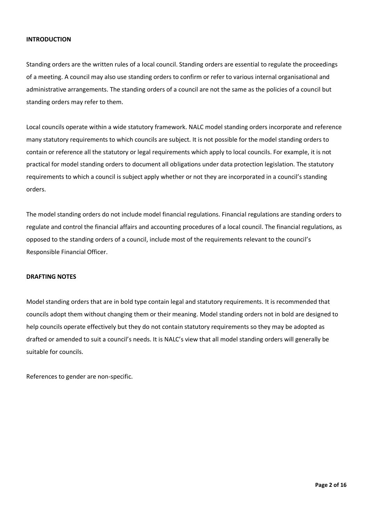#### **INTRODUCTION**

Standing orders are the written rules of a local council. Standing orders are essential to regulate the proceedings of a meeting. A council may also use standing orders to confirm or refer to various internal organisational and administrative arrangements. The standing orders of a council are not the same as the policies of a council but standing orders may refer to them.

Local councils operate within a wide statutory framework. NALC model standing orders incorporate and reference many statutory requirements to which councils are subject. It is not possible for the model standing orders to contain or reference all the statutory or legal requirements which apply to local councils. For example, it is not practical for model standing orders to document all obligations under data protection legislation. The statutory requirements to which a council is subject apply whether or not they are incorporated in a council's standing orders.

The model standing orders do not include model financial regulations. Financial regulations are standing orders to regulate and control the financial affairs and accounting procedures of a local council. The financial regulations, as opposed to the standing orders of a council, include most of the requirements relevant to the council's Responsible Financial Officer.

#### **DRAFTING NOTES**

Model standing orders that are in bold type contain legal and statutory requirements. It is recommended that councils adopt them without changing them or their meaning. Model standing orders not in bold are designed to help councils operate effectively but they do not contain statutory requirements so they may be adopted as drafted or amended to suit a council's needs. It is NALC's view that all model standing orders will generally be suitable for councils.

References to gender are non-specific.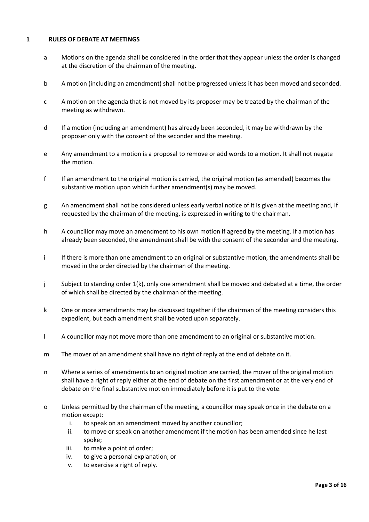## **1 RULES OF DEBATE AT MEETINGS**

- a Motions on the agenda shall be considered in the order that they appear unless the order is changed at the discretion of the chairman of the meeting.
- b A motion (including an amendment) shall not be progressed unless it has been moved and seconded.
- c A motion on the agenda that is not moved by its proposer may be treated by the chairman of the meeting as withdrawn.
- d If a motion (including an amendment) has already been seconded, it may be withdrawn by the proposer only with the consent of the seconder and the meeting.
- e Any amendment to a motion is a proposal to remove or add words to a motion. It shall not negate the motion.
- f If an amendment to the original motion is carried, the original motion (as amended) becomes the substantive motion upon which further amendment(s) may be moved.
- g An amendment shall not be considered unless early verbal notice of it is given at the meeting and, if requested by the chairman of the meeting, is expressed in writing to the chairman.
- h A councillor may move an amendment to his own motion if agreed by the meeting. If a motion has already been seconded, the amendment shall be with the consent of the seconder and the meeting.
- i If there is more than one amendment to an original or substantive motion, the amendments shall be moved in the order directed by the chairman of the meeting.
- j Subject to standing order 1(k), only one amendment shall be moved and debated at a time, the order of which shall be directed by the chairman of the meeting.
- k One or more amendments may be discussed together if the chairman of the meeting considers this expedient, but each amendment shall be voted upon separately.
- l A councillor may not move more than one amendment to an original or substantive motion.
- m The mover of an amendment shall have no right of reply at the end of debate on it.
- n Where a series of amendments to an original motion are carried, the mover of the original motion shall have a right of reply either at the end of debate on the first amendment or at the very end of debate on the final substantive motion immediately before it is put to the vote.
- o Unless permitted by the chairman of the meeting, a councillor may speak once in the debate on a motion except:
	- i. to speak on an amendment moved by another councillor;
	- ii. to move or speak on another amendment if the motion has been amended since he last spoke;
	- iii. to make a point of order;
	- iv. to give a personal explanation; or
	- v. to exercise a right of reply.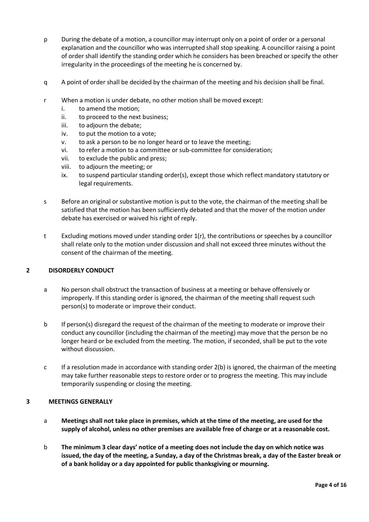- p During the debate of a motion, a councillor may interrupt only on a point of order or a personal explanation and the councillor who was interrupted shall stop speaking. A councillor raising a point of order shall identify the standing order which he considers has been breached or specify the other irregularity in the proceedings of the meeting he is concerned by.
- q A point of order shall be decided by the chairman of the meeting and his decision shall be final.
- r When a motion is under debate, no other motion shall be moved except:
	- i. to amend the motion;
	- ii. to proceed to the next business;
	- iii. to adjourn the debate;
	- iv. to put the motion to a vote;
	- v. to ask a person to be no longer heard or to leave the meeting;
	- vi. to refer a motion to a committee or sub-committee for consideration;
	- vii. to exclude the public and press;
	- viii. to adjourn the meeting; or
	- ix. to suspend particular standing order(s), except those which reflect mandatory statutory or legal requirements.
- s Before an original or substantive motion is put to the vote, the chairman of the meeting shall be satisfied that the motion has been sufficiently debated and that the mover of the motion under debate has exercised or waived his right of reply.
- t Excluding motions moved under standing order 1(r), the contributions or speeches by a councillor shall relate only to the motion under discussion and shall not exceed three minutes without the consent of the chairman of the meeting.

#### **2 DISORDERLY CONDUCT**

- a No person shall obstruct the transaction of business at a meeting or behave offensively or improperly. If this standing order is ignored, the chairman of the meeting shall request such person(s) to moderate or improve their conduct.
- b If person(s) disregard the request of the chairman of the meeting to moderate or improve their conduct any councillor (including the chairman of the meeting) may move that the person be no longer heard or be excluded from the meeting. The motion, if seconded, shall be put to the vote without discussion.
- c If a resolution made in accordance with standing order  $2(b)$  is ignored, the chairman of the meeting may take further reasonable steps to restore order or to progress the meeting. This may include temporarily suspending or closing the meeting.

#### **3 MEETINGS GENERALLY**

- a **Meetings shall not take place in premises, which at the time of the meeting, are used for the supply of alcohol, unless no other premises are available free of charge or at a reasonable cost.**
- b **The minimum 3 clear days' notice of a meeting does not include the day on which notice was issued, the day of the meeting, a Sunday, a day of the Christmas break, a day of the Easter break or of a bank holiday or a day appointed for public thanksgiving or mourning.**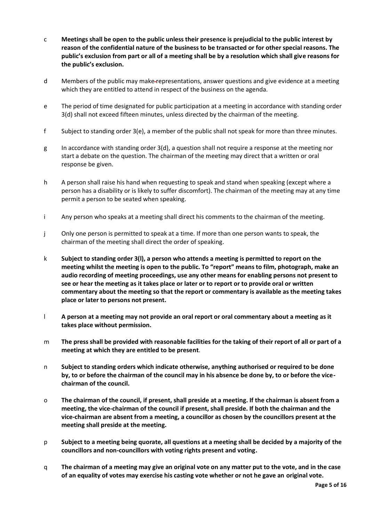- c **Meetings shall be open to the public unless their presence is prejudicial to the public interest by reason of the confidential nature of the business to be transacted or for other special reasons. The public's exclusion from part or all of a meeting shall be by a resolution which shall give reasons for the public's exclusion.**
- d Members of the public may make representations, answer questions and give evidence at a meeting which they are entitled to attend in respect of the business on the agenda.
- e The period of time designated for public participation at a meeting in accordance with standing order 3(d) shall not exceed fifteen minutes, unless directed by the chairman of the meeting.
- f Subject to standing order 3(e), a member of the public shall not speak for more than three minutes.
- g In accordance with standing order  $3(d)$ , a question shall not require a response at the meeting nor start a debate on the question. The chairman of the meeting may direct that a written or oral response be given.
- h A person shall raise his hand when requesting to speak and stand when speaking (except where a person has a disability or is likely to suffer discomfort). The chairman of the meeting may at any time permit a person to be seated when speaking.
- i Any person who speaks at a meeting shall direct his comments to the chairman of the meeting.
- j Only one person is permitted to speak at a time. If more than one person wants to speak, the chairman of the meeting shall direct the order of speaking.
- k **Subject to standing order 3(l), a person who attends a meeting is permitted to report on the meeting whilst the meeting is open to the public. To "report" means to film, photograph, make an audio recording of meeting proceedings, use any other means for enabling persons not present to see or hear the meeting as it takes place or later or to report or to provide oral or written commentary about the meeting so that the report or commentary is available as the meeting takes place or later to persons not present.**
- l **A person at a meeting may not provide an oral report or oral commentary about a meeting as it takes place without permission.**
- m **The press shall be provided with reasonable facilities for the taking of their report of all or part of a meeting at which they are entitled to be present**.
- n **Subject to standing orders which indicate otherwise, anything authorised or required to be done by, to or before the chairman of the council may in his absence be done by, to or before the vicechairman of the council.**
- o **The chairman of the council, if present, shall preside at a meeting. If the chairman is absent from a meeting, the vice-chairman of the council if present, shall preside. If both the chairman and the vice-chairman are absent from a meeting, a councillor as chosen by the councillors present at the meeting shall preside at the meeting.**
- p **Subject to a meeting being quorate, all questions at a meeting shall be decided by a majority of the councillors and non-councillors with voting rights present and voting.**
- q **The chairman of a meeting may give an original vote on any matter put to the vote, and in the case of an equality of votes may exercise his casting vote whether or not he gave an original vote.**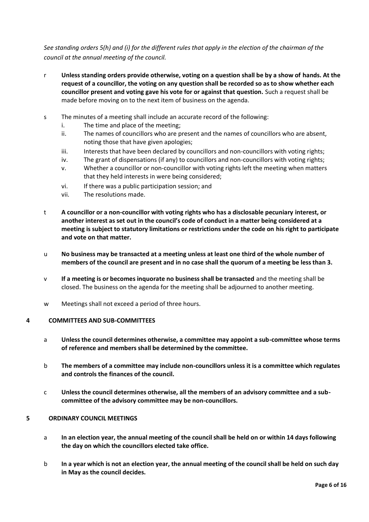*See standing orders 5(h) and (i) for the different rules that apply in the election of the chairman of the council at the annual meeting of the council.*

- r **Unless standing orders provide otherwise, voting on a question shall be by a show of hands. At the request of a councillor, the voting on any question shall be recorded so as to show whether each councillor present and voting gave his vote for or against that question.** Such a request shall be made before moving on to the next item of business on the agenda.
- s The minutes of a meeting shall include an accurate record of the following:
	- i. The time and place of the meeting;
	- ii. The names of councillors who are present and the names of councillors who are absent, noting those that have given apologies;
	- iii. Interests that have been declared by councillors and non-councillors with voting rights;
	- iv. The grant of dispensations (if any) to councillors and non-councillors with voting rights;
	- v. Whether a councillor or non-councillor with voting rights left the meeting when matters that they held interests in were being considered;
	- vi. If there was a public participation session; and
	- vii. The resolutions made.
- t **A councillor or a non-councillor with voting rights who has a disclosable pecuniary interest, or another interest as set out in the council's code of conduct in a matter being considered at a meeting is subject to statutory limitations or restrictions under the code on his right to participate and vote on that matter.**
- u **No business may be transacted at a meeting unless at least one third of the whole number of members of the council are present and in no case shall the quorum of a meeting be less than 3.**
- v **If a meeting is or becomes inquorate no business shall be transacted** and the meeting shall be closed. The business on the agenda for the meeting shall be adjourned to another meeting.
- w Meetings shall not exceed a period of three hours.

#### **4 COMMITTEES AND SUB-COMMITTEES**

- a **Unless the council determines otherwise, a committee may appoint a sub-committee whose terms of reference and members shall be determined by the committee.**
- b **The members of a committee may include non-councillors unless it is a committee which regulates and controls the finances of the council.**
- c **Unless the council determines otherwise, all the members of an advisory committee and a subcommittee of the advisory committee may be non-councillors.**

#### **5 ORDINARY COUNCIL MEETINGS**

- a **In an election year, the annual meeting of the council shall be held on or within 14 days following the day on which the councillors elected take office.**
- b **In a year which is not an election year, the annual meeting of the council shall be held on such day in May as the council decides.**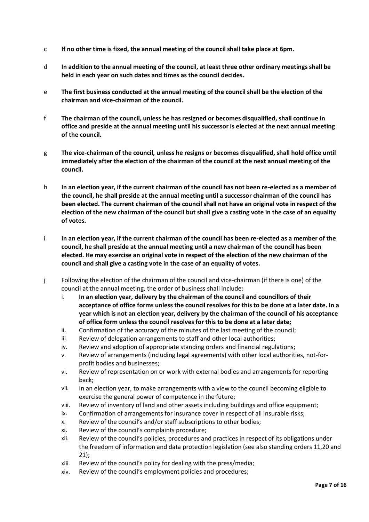- c **If no other time is fixed, the annual meeting of the council shall take place at 6pm.**
- d **In addition to the annual meeting of the council, at least three other ordinary meetings shall be held in each year on such dates and times as the council decides.**
- e **The first business conducted at the annual meeting of the council shall be the election of the chairman and vice-chairman of the council.**
- f **The chairman of the council, unless he has resigned or becomes disqualified, shall continue in office and preside at the annual meeting until his successor is elected at the next annual meeting of the council.**
- g **The vice-chairman of the council, unless he resigns or becomes disqualified, shall hold office until immediately after the election of the chairman of the council at the next annual meeting of the council.**
- h **In an election year, if the current chairman of the council has not been re-elected as a member of the council, he shall preside at the annual meeting until a successor chairman of the council has been elected. The current chairman of the council shall not have an original vote in respect of the election of the new chairman of the council but shall give a casting vote in the case of an equality of votes.**
- i **In an election year, if the current chairman of the council has been re-elected as a member of the council, he shall preside at the annual meeting until a new chairman of the council has been elected. He may exercise an original vote in respect of the election of the new chairman of the council and shall give a casting vote in the case of an equality of votes.**
- j Following the election of the chairman of the council and vice-chairman (if there is one) of the council at the annual meeting, the order of business shall include:
	- i. **In an election year, delivery by the chairman of the council and councillors of their acceptance of office forms unless the council resolves for this to be done at a later date. In a year which is not an election year, delivery by the chairman of the council of his acceptance of office form unless the council resolves for this to be done at a later date;**
	- ii. Confirmation of the accuracy of the minutes of the last meeting of the council;
	- iii. Review of delegation arrangements to staff and other local authorities;
	- iv. Review and adoption of appropriate standing orders and financial regulations;
	- v. Review of arrangements (including legal agreements) with other local authorities, not-forprofit bodies and businesses;
	- vi. Review of representation on or work with external bodies and arrangements for reporting back;
	- vii. In an election year, to make arrangements with a view to the council becoming eligible to exercise the general power of competence in the future;
	- viii. Review of inventory of land and other assets including buildings and office equipment;
	- ix. Confirmation of arrangements for insurance cover in respect of all insurable risks;
	- x. Review of the council's and/or staff subscriptions to other bodies;
	- xi. Review of the council's complaints procedure;
	- xii. Review of the council's policies, procedures and practices in respect of its obligations under the freedom of information and data protection legislation (see also standing orders 11,20 and 21);
	- xiii. Review of the council's policy for dealing with the press/media;
	- xiv. Review of the council's employment policies and procedures;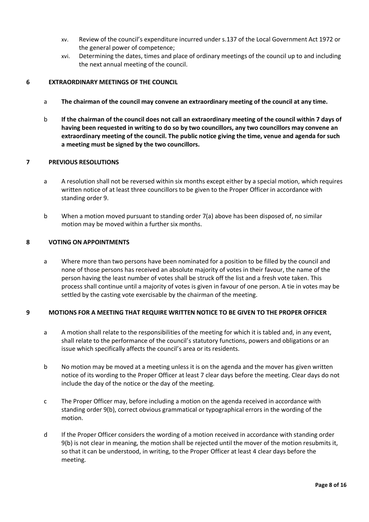- xv. Review of the council's expenditure incurred under s.137 of the Local Government Act 1972 or the general power of competence;
- xvi. Determining the dates, times and place of ordinary meetings of the council up to and including the next annual meeting of the council.

## **6 EXTRAORDINARY MEETINGS OF THE COUNCIL**

- a **The chairman of the council may convene an extraordinary meeting of the council at any time.**
- b **If the chairman of the council does not call an extraordinary meeting of the council within 7 days of having been requested in writing to do so by two councillors, any two councillors may convene an extraordinary meeting of the council. The public notice giving the time, venue and agenda for such a meeting must be signed by the two councillors.**

## **7 PREVIOUS RESOLUTIONS**

- a A resolution shall not be reversed within six months except either by a special motion, which requires written notice of at least three councillors to be given to the Proper Officer in accordance with standing order 9.
- b When a motion moved pursuant to standing order 7(a) above has been disposed of, no similar motion may be moved within a further six months.

### **8 VOTING ON APPOINTMENTS**

a Where more than two persons have been nominated for a position to be filled by the council and none of those persons has received an absolute majority of votes in their favour, the name of the person having the least number of votes shall be struck off the list and a fresh vote taken. This process shall continue until a majority of votes is given in favour of one person. A tie in votes may be settled by the casting vote exercisable by the chairman of the meeting.

#### **9 MOTIONS FOR A MEETING THAT REQUIRE WRITTEN NOTICE TO BE GIVEN TO THE PROPER OFFICER**

- a A motion shall relate to the responsibilities of the meeting for which it is tabled and, in any event, shall relate to the performance of the council's statutory functions, powers and obligations or an issue which specifically affects the council's area or its residents.
- b No motion may be moved at a meeting unless it is on the agenda and the mover has given written notice of its wording to the Proper Officer at least 7 clear days before the meeting. Clear days do not include the day of the notice or the day of the meeting.
- c The Proper Officer may, before including a motion on the agenda received in accordance with standing order 9(b), correct obvious grammatical or typographical errors in the wording of the motion.
- d If the Proper Officer considers the wording of a motion received in accordance with standing order 9(b) is not clear in meaning, the motion shall be rejected until the mover of the motion resubmits it, so that it can be understood, in writing, to the Proper Officer at least 4 clear days before the meeting.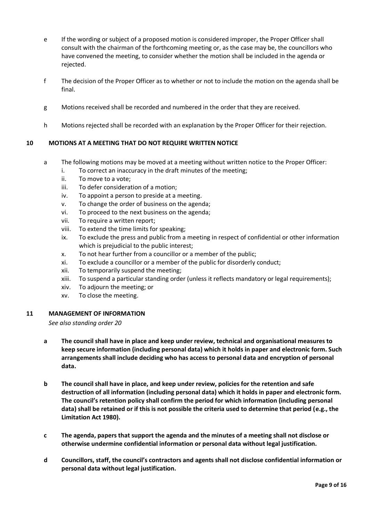- e If the wording or subject of a proposed motion is considered improper, the Proper Officer shall consult with the chairman of the forthcoming meeting or, as the case may be, the councillors who have convened the meeting, to consider whether the motion shall be included in the agenda or rejected.
- f The decision of the Proper Officer as to whether or not to include the motion on the agenda shall be final.
- g Motions received shall be recorded and numbered in the order that they are received.
- h Motions rejected shall be recorded with an explanation by the Proper Officer for their rejection.

## **10 MOTIONS AT A MEETING THAT DO NOT REQUIRE WRITTEN NOTICE**

- a The following motions may be moved at a meeting without written notice to the Proper Officer:
	- i. To correct an inaccuracy in the draft minutes of the meeting;
	- ii. To move to a vote;
	- iii. To defer consideration of a motion;
	- iv. To appoint a person to preside at a meeting.
	- v. To change the order of business on the agenda;
	- vi. To proceed to the next business on the agenda;
	- vii. To require a written report;
	- viii. To extend the time limits for speaking;
	- ix. To exclude the press and public from a meeting in respect of confidential or other information which is prejudicial to the public interest;
	- x. To not hear further from a councillor or a member of the public;
	- xi. To exclude a councillor or a member of the public for disorderly conduct;
	- xii. To temporarily suspend the meeting;
	- xiii. To suspend a particular standing order (unless it reflects mandatory or legal requirements);
	- xiv. To adjourn the meeting; or
	- xv. To close the meeting.

#### **11 MANAGEMENT OF INFORMATION**

*See also standing order 20*

- **a The council shall have in place and keep under review, technical and organisational measures to keep secure information (including personal data) which it holds in paper and electronic form. Such arrangements shall include deciding who has access to personal data and encryption of personal data.**
- **b The council shall have in place, and keep under review, policies for the retention and safe destruction of all information (including personal data) which it holds in paper and electronic form. The council's retention policy shall confirm the period for which information (including personal data) shall be retained or if this is not possible the criteria used to determine that period (e.g., the Limitation Act 1980).**
- **c The agenda, papers that support the agenda and the minutes of a meeting shall not disclose or otherwise undermine confidential information or personal data without legal justification.**
- **d Councillors, staff, the council's contractors and agents shall not disclose confidential information or personal data without legal justification.**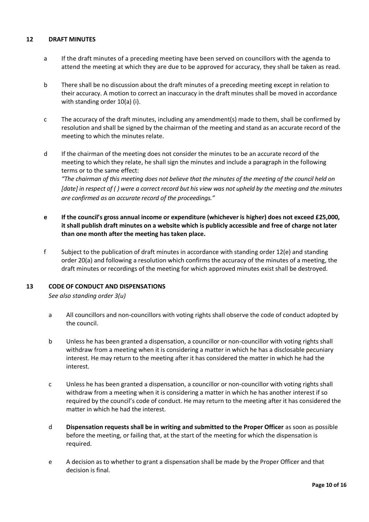## **12 DRAFT MINUTES**

- a If the draft minutes of a preceding meeting have been served on councillors with the agenda to attend the meeting at which they are due to be approved for accuracy, they shall be taken as read.
- b There shall be no discussion about the draft minutes of a preceding meeting except in relation to their accuracy. A motion to correct an inaccuracy in the draft minutes shall be moved in accordance with standing order 10(a) (i).
- c The accuracy of the draft minutes, including any amendment(s) made to them, shall be confirmed by resolution and shall be signed by the chairman of the meeting and stand as an accurate record of the meeting to which the minutes relate.
- d If the chairman of the meeting does not consider the minutes to be an accurate record of the meeting to which they relate, he shall sign the minutes and include a paragraph in the following terms or to the same effect:

*"The chairman of this meeting does not believe that the minutes of the meeting of the council held on [date] in respect of ( ) were a correct record but his view was not upheld by the meeting and the minutes are confirmed as an accurate record of the proceedings."*

- **e If the council's gross annual income or expenditure (whichever is higher) does not exceed £25,000, it shall publish draft minutes on a website which is publicly accessible and free of charge not later than one month after the meeting has taken place.**
- f Subject to the publication of draft minutes in accordance with standing order 12(e) and standing order 20(a) and following a resolution which confirms the accuracy of the minutes of a meeting, the draft minutes or recordings of the meeting for which approved minutes exist shall be destroyed.

#### **13 CODE OF CONDUCT AND DISPENSATIONS**

*See also standing order 3(u)*

- a All councillors and non-councillors with voting rights shall observe the code of conduct adopted by the council.
- b Unless he has been granted a dispensation, a councillor or non-councillor with voting rights shall withdraw from a meeting when it is considering a matter in which he has a disclosable pecuniary interest. He may return to the meeting after it has considered the matter in which he had the interest.
- c Unless he has been granted a dispensation, a councillor or non-councillor with voting rights shall withdraw from a meeting when it is considering a matter in which he has another interest if so required by the council's code of conduct. He may return to the meeting after it has considered the matter in which he had the interest.
- d **Dispensation requests shall be in writing and submitted to the Proper Officer** as soon as possible before the meeting, or failing that, at the start of the meeting for which the dispensation is required.
- e A decision as to whether to grant a dispensation shall be made by the Proper Officer and that decision is final.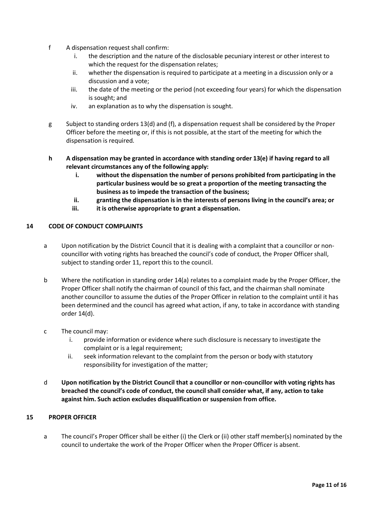- f A dispensation request shall confirm:
	- i. the description and the nature of the disclosable pecuniary interest or other interest to which the request for the dispensation relates;
	- ii. whether the dispensation is required to participate at a meeting in a discussion only or a discussion and a vote;
	- iii. the date of the meeting or the period (not exceeding four years) for which the dispensation is sought; and
	- iv. an explanation as to why the dispensation is sought.
- g Subject to standing orders 13(d) and (f), a dispensation request shall be considered by the Proper Officer before the meeting or, if this is not possible, at the start of the meeting for which the dispensation is required.
- **h A dispensation may be granted in accordance with standing order 13(e) if having regard to all relevant circumstances any of the following apply:**
	- **i. without the dispensation the number of persons prohibited from participating in the particular business would be so great a proportion of the meeting transacting the business as to impede the transaction of the business;**
	- **ii. granting the dispensation is in the interests of persons living in the council's area; or**
	- **iii. it is otherwise appropriate to grant a dispensation.**

#### **14 CODE OF CONDUCT COMPLAINTS**

- a Upon notification by the District Council that it is dealing with a complaint that a councillor or noncouncillor with voting rights has breached the council's code of conduct, the Proper Officer shall, subject to standing order 11, report this to the council.
- b Where the notification in standing order 14(a) relates to a complaint made by the Proper Officer, the Proper Officer shall notify the chairman of council of this fact, and the chairman shall nominate another councillor to assume the duties of the Proper Officer in relation to the complaint until it has been determined and the council has agreed what action, if any, to take in accordance with standing order 14(d).
- c The council may:
	- i. provide information or evidence where such disclosure is necessary to investigate the complaint or is a legal requirement;
	- ii. seek information relevant to the complaint from the person or body with statutory responsibility for investigation of the matter;
- d **Upon notification by the District Council that a councillor or non-councillor with voting rights has breached the council's code of conduct, the council shall consider what, if any, action to take against him. Such action excludes disqualification or suspension from office.**

## **15 PROPER OFFICER**

a The council's Proper Officer shall be either (i) the Clerk or (ii) other staff member(s) nominated by the council to undertake the work of the Proper Officer when the Proper Officer is absent.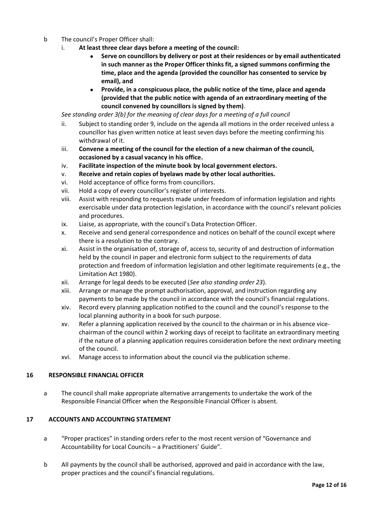- b The council's Proper Officer shall:
	- i. **At least three clear days before a meeting of the council:**
		- **Serve on councillors by delivery or post at their residences or by email authenticated in such manner as the Proper Officer thinks fit, a signed summons confirming the time, place and the agenda (provided the councillor has consented to service by email), and**
		- **Provide, in a conspicuous place, the public notice of the time, place and agenda (provided that the public notice with agenda of an extraordinary meeting of the council convened by councillors is signed by them)**.

*See standing order 3(b) for the meaning of clear days for a meeting of a full council* 

- ii. Subject to standing order 9, include on the agenda all motions in the order received unless a councillor has given written notice at least seven days before the meeting confirming his withdrawal of it.
- iii. **Convene a meeting of the council for the election of a new chairman of the council, occasioned by a casual vacancy in his office.**
- iv. **Facilitate inspection of the minute book by local government electors.**
- v. **Receive and retain copies of byelaws made by other local authorities.**
- vi. Hold acceptance of office forms from councillors.
- vii. Hold a copy of every councillor's register of interests.
- viii. Assist with responding to requests made under freedom of information legislation and rights exercisable under data protection legislation, in accordance with the council's relevant policies and procedures.
- ix. Liaise, as appropriate, with the council's Data Protection Officer.
- x. Receive and send general correspondence and notices on behalf of the council except where there is a resolution to the contrary.
- xi. Assist in the organisation of, storage of, access to, security of and destruction of information held by the council in paper and electronic form subject to the requirements of data protection and freedom of information legislation and other legitimate requirements (e.g., the Limitation Act 1980).
- xii. Arrange for legal deeds to be executed (*See also standing order 23*).
- xiii. Arrange or manage the prompt authorisation, approval, and instruction regarding any payments to be made by the council in accordance with the council's financial regulations.
- xiv. Record every planning application notified to the council and the council's response to the local planning authority in a book for such purpose.
- xv. Refer a planning application received by the council to the chairman or in his absence vicechairman of the council within 2 working days of receipt to facilitate an extraordinary meeting if the nature of a planning application requires consideration before the next ordinary meeting of the council.
- xvi. Manage access to information about the council via the publication scheme.

#### **16 RESPONSIBLE FINANCIAL OFFICER**

a The council shall make appropriate alternative arrangements to undertake the work of the Responsible Financial Officer when the Responsible Financial Officer is absent.

#### **17 ACCOUNTS AND ACCOUNTING STATEMENT**

- a "Proper practices" in standing orders refer to the most recent version of "Governance and Accountability for Local Councils – a Practitioners' Guide".
- b All payments by the council shall be authorised, approved and paid in accordance with the law, proper practices and the council's financial regulations.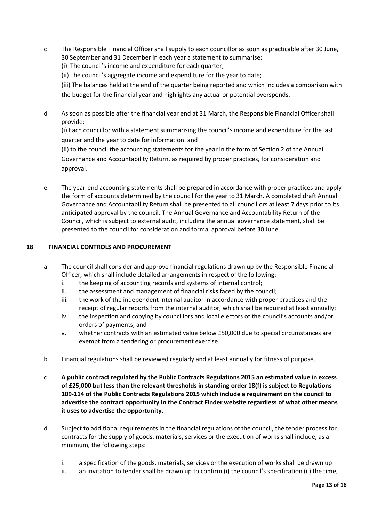c The Responsible Financial Officer shall supply to each councillor as soon as practicable after 30 June, 30 September and 31 December in each year a statement to summarise:

(i) The council's income and expenditure for each quarter;

(ii) The council's aggregate income and expenditure for the year to date;

(iii) The balances held at the end of the quarter being reported and which includes a comparison with the budget for the financial year and highlights any actual or potential overspends.

d As soon as possible after the financial year end at 31 March, the Responsible Financial Officer shall provide:

(i) Each councillor with a statement summarising the council's income and expenditure for the last quarter and the year to date for information: and

(ii) to the council the accounting statements for the year in the form of Section 2 of the Annual Governance and Accountability Return, as required by proper practices, for consideration and approval.

e The year-end accounting statements shall be prepared in accordance with proper practices and apply the form of accounts determined by the council for the year to 31 March. A completed draft Annual Governance and Accountability Return shall be presented to all councillors at least 7 days prior to its anticipated approval by the council. The Annual Governance and Accountability Return of the Council, which is subject to external audit, including the annual governance statement, shall be presented to the council for consideration and formal approval before 30 June.

## **18 FINANCIAL CONTROLS AND PROCUREMENT**

- a The council shall consider and approve financial regulations drawn up by the Responsible Financial Officer, which shall include detailed arrangements in respect of the following:
	- i. the keeping of accounting records and systems of internal control;
	- ii. the assessment and management of financial risks faced by the council;
	- iii. the work of the independent internal auditor in accordance with proper practices and the receipt of regular reports from the internal auditor, which shall be required at least annually;
	- iv. the inspection and copying by councillors and local electors of the council's accounts and/or orders of payments; and
	- v. whether contracts with an estimated value below £50,000 due to special circumstances are exempt from a tendering or procurement exercise.
- b Financial regulations shall be reviewed regularly and at least annually for fitness of purpose.
- c **A public contract regulated by the Public Contracts Regulations 2015 an estimated value in excess of £25,000 but less than the relevant thresholds in standing order 18(f) is subject to Regulations 109-114 of the Public Contracts Regulations 2015 which include a requirement on the council to advertise the contract opportunity In the Contract Finder website regardless of what other means it uses to advertise the opportunity.**
- d Subject to additional requirements in the financial regulations of the council, the tender process for contracts for the supply of goods, materials, services or the execution of works shall include, as a minimum, the following steps:
	- i. a specification of the goods, materials, services or the execution of works shall be drawn up
	- ii. an invitation to tender shall be drawn up to confirm (i) the council's specification (ii) the time,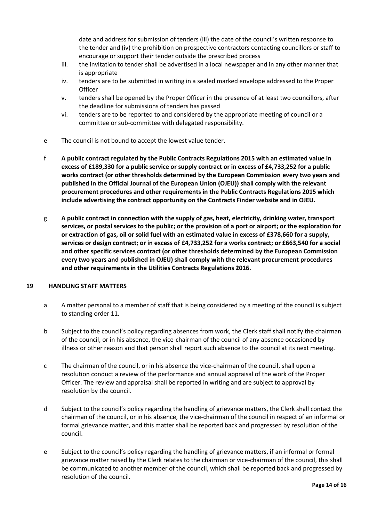date and address for submission of tenders (iii) the date of the council's written response to the tender and (iv) the prohibition on prospective contractors contacting councillors or staff to encourage or support their tender outside the prescribed process

- iii. the invitation to tender shall be advertised in a local newspaper and in any other manner that is appropriate
- iv. tenders are to be submitted in writing in a sealed marked envelope addressed to the Proper **Officer**
- v. tenders shall be opened by the Proper Officer in the presence of at least two councillors, after the deadline for submissions of tenders has passed
- vi. tenders are to be reported to and considered by the appropriate meeting of council or a committee or sub-committee with delegated responsibility.
- e The council is not bound to accept the lowest value tender.
- f **A public contract regulated by the Public Contracts Regulations 2015 with an estimated value in excess of £189,330 for a public service or supply contract or in excess of £4,733,252 for a public works contract (or other thresholds determined by the European Commission every two years and published in the Official Journal of the European Union (OJEU)) shall comply with the relevant procurement procedures and other requirements in the Public Contracts Regulations 2015 which include advertising the contract opportunity on the Contracts Finder website and in OJEU.**
- g **A public contract in connection with the supply of gas, heat, electricity, drinking water, transport services, or postal services to the public; or the provision of a port or airport; or the exploration for or extraction of gas, oil or solid fuel with an estimated value in excess of £378,660 for a supply, services or design contract; or in excess of £4,733,252 for a works contract; or £663,540 for a social and other specific services contract (or other thresholds determined by the European Commission every two years and published in OJEU) shall comply with the relevant procurement procedures and other requirements in the Utilities Contracts Regulations 2016.**

#### **19 HANDLING STAFF MATTERS**

- a A matter personal to a member of staff that is being considered by a meeting of the council is subject to standing order 11.
- b Subject to the council's policy regarding absences from work, the Clerk staff shall notify the chairman of the council, or in his absence, the vice-chairman of the council of any absence occasioned by illness or other reason and that person shall report such absence to the council at its next meeting.
- c The chairman of the council, or in his absence the vice-chairman of the council, shall upon a resolution conduct a review of the performance and annual appraisal of the work of the Proper Officer. The review and appraisal shall be reported in writing and are subject to approval by resolution by the council.
- d Subject to the council's policy regarding the handling of grievance matters, the Clerk shall contact the chairman of the council, or in his absence, the vice-chairman of the council in respect of an informal or formal grievance matter, and this matter shall be reported back and progressed by resolution of the council.
- e Subject to the council's policy regarding the handling of grievance matters, if an informal or formal grievance matter raised by the Clerk relates to the chairman or vice-chairman of the council, this shall be communicated to another member of the council, which shall be reported back and progressed by resolution of the council.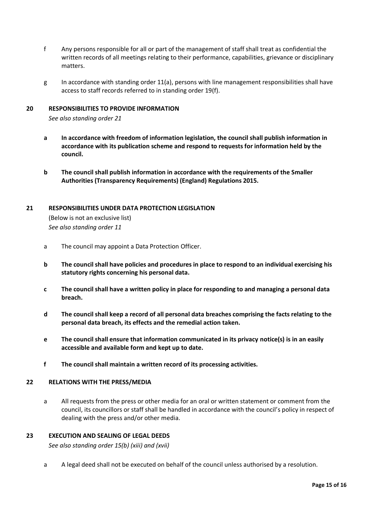- f Any persons responsible for all or part of the management of staff shall treat as confidential the written records of all meetings relating to their performance, capabilities, grievance or disciplinary matters.
- g In accordance with standing order 11(a), persons with line management responsibilities shall have access to staff records referred to in standing order 19(f).

## **20 RESPONSIBILITIES TO PROVIDE INFORMATION**

*See also standing order 21*

- **a In accordance with freedom of information legislation, the council shall publish information in accordance with its publication scheme and respond to requests for information held by the council.**
- **b The council shall publish information in accordance with the requirements of the Smaller Authorities (Transparency Requirements) (England) Regulations 2015.**

#### **21 RESPONSIBILITIES UNDER DATA PROTECTION LEGISLATION**

(Below is not an exclusive list) *See also standing order 11*

- a The council may appoint a Data Protection Officer.
- **b The council shall have policies and procedures in place to respond to an individual exercising his statutory rights concerning his personal data.**
- **c The council shall have a written policy in place for responding to and managing a personal data breach.**
- **d The council shall keep a record of all personal data breaches comprising the facts relating to the personal data breach, its effects and the remedial action taken.**
- **e The council shall ensure that information communicated in its privacy notice(s) is in an easily accessible and available form and kept up to date.**
- **f The council shall maintain a written record of its processing activities.**

#### **22 RELATIONS WITH THE PRESS/MEDIA**

a All requests from the press or other media for an oral or written statement or comment from the council, its councillors or staff shall be handled in accordance with the council's policy in respect of dealing with the press and/or other media.

#### **23 EXECUTION AND SEALING OF LEGAL DEEDS**

*See also standing order 15(b) (xiii) and (xvii)*

a A legal deed shall not be executed on behalf of the council unless authorised by a resolution.